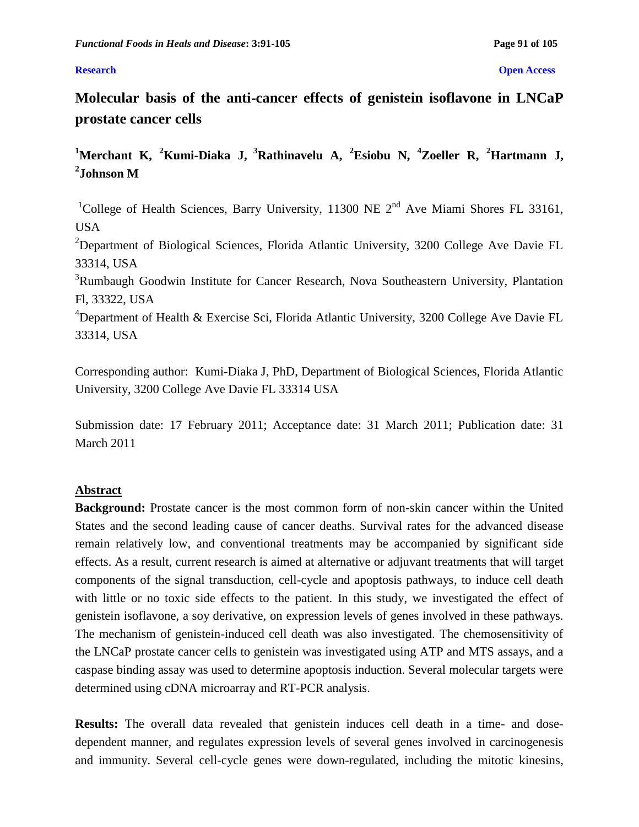### **Research Open Access**

**Molecular basis of the anti-cancer effects of genistein isoflavone in LNCaP prostate cancer cells**

**<sup>1</sup>Merchant K, <sup>2</sup>Kumi-Diaka J, <sup>3</sup>Rathinavelu A, <sup>2</sup>Esiobu N, <sup>4</sup>Zoeller R, <sup>2</sup>Hartmann J, 2 Johnson M** 

<sup>1</sup>College of Health Sciences, Barry University, 11300 NE  $2<sup>nd</sup>$  Ave Miami Shores FL 33161, USA

<sup>2</sup>Department of Biological Sciences, Florida Atlantic University, 3200 College Ave Davie FL 33314, USA

<sup>3</sup>Rumbaugh Goodwin Institute for Cancer Research, Nova Southeastern University, Plantation Fl, 33322, USA

<sup>4</sup>Department of Health & Exercise Sci, Florida Atlantic University, 3200 College Ave Davie FL 33314, USA

Corresponding author: Kumi-Diaka J, PhD, Department of Biological Sciences, Florida Atlantic University, 3200 College Ave Davie FL 33314 USA

Submission date: 17 February 2011; Acceptance date: 31 March 2011; Publication date: 31 March 2011

# **Abstract**

**Background:** Prostate cancer is the most common form of non-skin cancer within the United States and the second leading cause of cancer deaths. Survival rates for the advanced disease remain relatively low, and conventional treatments may be accompanied by significant side effects. As a result, current research is aimed at alternative or adjuvant treatments that will target components of the signal transduction, cell-cycle and apoptosis pathways, to induce cell death with little or no toxic side effects to the patient. In this study, we investigated the effect of genistein isoflavone, a soy derivative, on expression levels of genes involved in these pathways. The mechanism of genistein-induced cell death was also investigated. The chemosensitivity of the LNCaP prostate cancer cells to genistein was investigated using ATP and MTS assays, and a caspase binding assay was used to determine apoptosis induction. Several molecular targets were determined using cDNA microarray and RT-PCR analysis.

**Results:** The overall data revealed that genistein induces cell death in a time- and dosedependent manner, and regulates expression levels of several genes involved in carcinogenesis and immunity. Several cell-cycle genes were down-regulated, including the mitotic kinesins,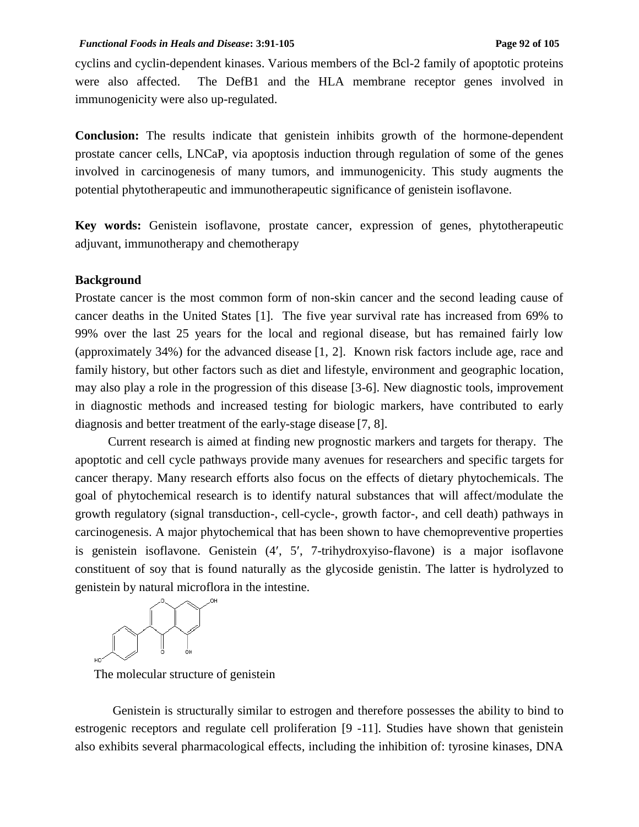cyclins and cyclin-dependent kinases. Various members of the Bcl-2 family of apoptotic proteins were also affected. The DefB1 and the HLA membrane receptor genes involved in immunogenicity were also up-regulated.

**Conclusion:** The results indicate that genistein inhibits growth of the hormone-dependent prostate cancer cells, LNCaP, via apoptosis induction through regulation of some of the genes involved in carcinogenesis of many tumors, and immunogenicity. This study augments the potential phytotherapeutic and immunotherapeutic significance of genistein isoflavone.

**Key words:** Genistein isoflavone, prostate cancer, expression of genes, phytotherapeutic adjuvant, immunotherapy and chemotherapy

### **Background**

Prostate cancer is the most common form of non-skin cancer and the second leading cause of cancer deaths in the United States [1]. The five year survival rate has increased from 69% to 99% over the last 25 years for the local and regional disease, but has remained fairly low (approximately 34%) for the advanced disease [1, 2]. Known risk factors include age, race and family history, but other factors such as diet and lifestyle, environment and geographic location, may also play a role in the progression of this disease [3-6]. New diagnostic tools, improvement in diagnostic methods and increased testing for biologic markers, have contributed to early diagnosis and better treatment of the early-stage disease [7, 8].

Current research is aimed at finding new prognostic markers and targets for therapy. The apoptotic and cell cycle pathways provide many avenues for researchers and specific targets for cancer therapy. Many research efforts also focus on the effects of dietary phytochemicals. The goal of phytochemical research is to identify natural substances that will affect/modulate the growth regulatory (signal transduction-, cell-cycle-, growth factor-, and cell death) pathways in carcinogenesis. A major phytochemical that has been shown to have chemopreventive properties is genistein isoflavone. Genistein (4', 5', 7-trihydroxyiso-flavone) is a major isoflavone constituent of soy that is found naturally as the glycoside genistin. The latter is hydrolyzed to genistein by natural microflora in the intestine.



The molecular structure of genistein

Genistein is structurally similar to estrogen and therefore possesses the ability to bind to estrogenic receptors and regulate cell proliferation [9 -11]. Studies have shown that genistein also exhibits several pharmacological effects, including the inhibition of: tyrosine kinases, DNA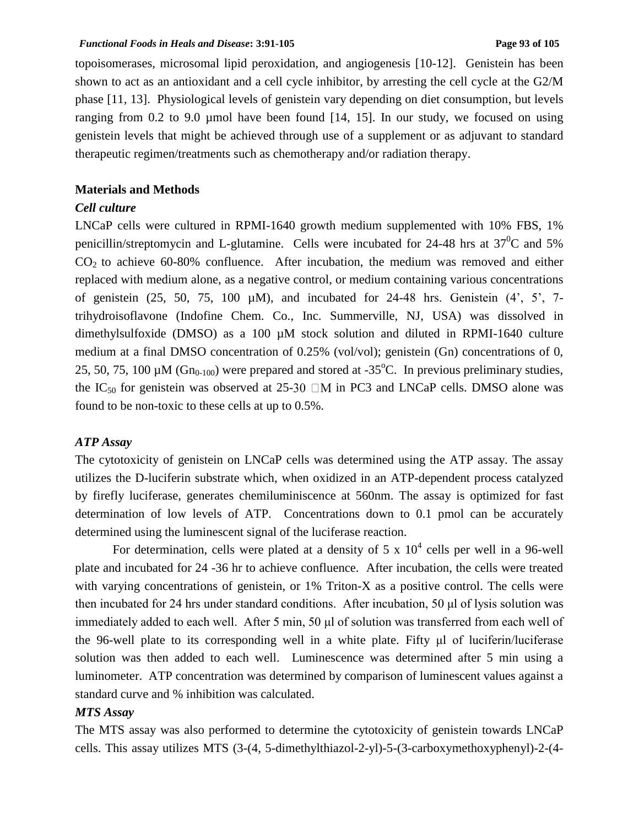#### *Functional Foods in Heals and Disease***: 3:91-105 Page 93 of 105**

topoisomerases, microsomal lipid peroxidation, and angiogenesis [10-12]. Genistein has been shown to act as an antioxidant and a cell cycle inhibitor, by arresting the cell cycle at the G2/M phase [11, 13]. Physiological levels of genistein vary depending on diet consumption, but levels ranging from 0.2 to 9.0 µmol have been found [14, 15]. In our study, we focused on using genistein levels that might be achieved through use of a supplement or as adjuvant to standard therapeutic regimen/treatments such as chemotherapy and/or radiation therapy.

### **Materials and Methods**

## *Cell culture*

LNCaP cells were cultured in RPMI-1640 growth medium supplemented with 10% FBS, 1% penicillin/streptomycin and L-glutamine. Cells were incubated for 24-48 hrs at  $37^0C$  and 5%  $CO<sub>2</sub>$  to achieve 60-80% confluence. After incubation, the medium was removed and either replaced with medium alone, as a negative control, or medium containing various concentrations of genistein  $(25, 50, 75, 100 \mu M)$ , and incubated for 24-48 hrs. Genistein  $(4^{\prime}, 5^{\prime}, 7$ trihydroisoflavone (Indofine Chem. Co., Inc. Summerville, NJ, USA) was dissolved in dimethylsulfoxide (DMSO) as a 100 µM stock solution and diluted in RPMI-1640 culture medium at a final DMSO concentration of 0.25% (vol/vol); genistein (Gn) concentrations of 0, 25, 50, 75, 100  $\mu$ M (Gn<sub>0-100</sub>) were prepared and stored at -35<sup>o</sup>C. In previous preliminary studies, the IC<sub>50</sub> for genistein was observed at 25-30  $\Box M$  in PC3 and LNCaP cells. DMSO alone was found to be non-toxic to these cells at up to 0.5%.

## *ATP Assay*

The cytotoxicity of genistein on LNCaP cells was determined using the ATP assay. The assay utilizes the D-luciferin substrate which, when oxidized in an ATP-dependent process catalyzed by firefly luciferase, generates chemiluminiscence at 560nm. The assay is optimized for fast determination of low levels of ATP. Concentrations down to 0.1 pmol can be accurately determined using the luminescent signal of the luciferase reaction.

For determination, cells were plated at a density of 5 x  $10^4$  cells per well in a 96-well plate and incubated for 24 -36 hr to achieve confluence. After incubation, the cells were treated with varying concentrations of genistein, or 1% Triton-X as a positive control. The cells were then incubated for 24 hrs under standard conditions. After incubation, 50 μl of lysis solution was immediately added to each well. After 5 min, 50 μl of solution was transferred from each well of the 96-well plate to its corresponding well in a white plate. Fifty μl of luciferin/luciferase solution was then added to each well. Luminescence was determined after 5 min using a luminometer. ATP concentration was determined by comparison of luminescent values against a standard curve and % inhibition was calculated.

# *MTS Assay*

The MTS assay was also performed to determine the cytotoxicity of genistein towards LNCaP cells. This assay utilizes MTS (3-(4, 5-dimethylthiazol-2-yl)-5-(3-carboxymethoxyphenyl)-2-(4-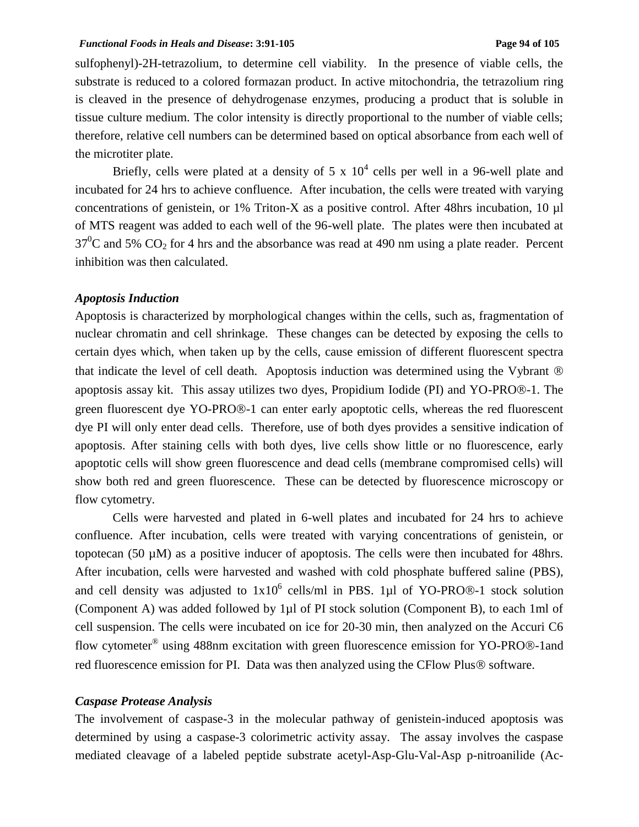#### *Functional Foods in Heals and Disease***: 3:91-105 Page 94 of 105**

sulfophenyl)-2H-tetrazolium, to determine cell viability. In the presence of viable cells, the substrate is reduced to a colored formazan product. In active mitochondria, the tetrazolium ring is cleaved in the presence of dehydrogenase enzymes, producing a product that is soluble in tissue culture medium. The color intensity is directly proportional to the number of viable cells; therefore, relative cell numbers can be determined based on optical absorbance from each well of the microtiter plate.

Briefly, cells were plated at a density of 5 x  $10^4$  cells per well in a 96-well plate and incubated for 24 hrs to achieve confluence. After incubation, the cells were treated with varying concentrations of genistein, or 1% Triton-X as a positive control. After 48hrs incubation, 10 µl of MTS reagent was added to each well of the 96-well plate. The plates were then incubated at  $37^0$ C and 5% CO<sub>2</sub> for 4 hrs and the absorbance was read at 490 nm using a plate reader. Percent inhibition was then calculated.

#### *Apoptosis Induction*

Apoptosis is characterized by morphological changes within the cells, such as, fragmentation of nuclear chromatin and cell shrinkage. These changes can be detected by exposing the cells to certain dyes which, when taken up by the cells, cause emission of different fluorescent spectra that indicate the level of cell death. Apoptosis induction was determined using the Vybrant apoptosis assay kit. This assay utilizes two dyes, Propidium Iodide (PI) and YO-PRO®-1. The green fluorescent dye YO-PRO®-1 can enter early apoptotic cells, whereas the red fluorescent dye PI will only enter dead cells. Therefore, use of both dyes provides a sensitive indication of apoptosis. After staining cells with both dyes, live cells show little or no fluorescence, early apoptotic cells will show green fluorescence and dead cells (membrane compromised cells) will show both red and green fluorescence. These can be detected by fluorescence microscopy or flow cytometry.

Cells were harvested and plated in 6-well plates and incubated for 24 hrs to achieve confluence. After incubation, cells were treated with varying concentrations of genistein, or topotecan (50 µM) as a positive inducer of apoptosis. The cells were then incubated for 48hrs. After incubation, cells were harvested and washed with cold phosphate buffered saline (PBS), and cell density was adjusted to  $1x10^6$  cells/ml in PBS. 1µl of YO-PRO®-1 stock solution (Component A) was added followed by 1µl of PI stock solution (Component B), to each 1ml of cell suspension. The cells were incubated on ice for 20-30 min, then analyzed on the Accuri C6 flow cytometer<sup>®</sup> using 488nm excitation with green fluorescence emission for YO-PRO®-1and red fluorescence emission for PI. Data was then analyzed using the CFlow Plus ® software.

#### *Caspase Protease Analysis*

The involvement of caspase-3 in the molecular pathway of genistein-induced apoptosis was determined by using a caspase-3 colorimetric activity assay. The assay involves the caspase mediated cleavage of a labeled peptide substrate acetyl-Asp-Glu-Val-Asp p-nitroanilide (Ac-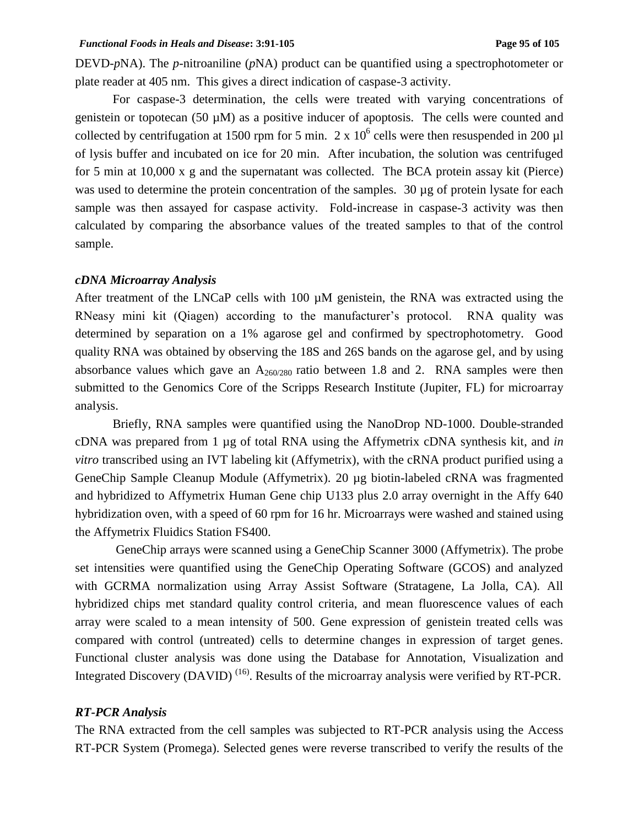#### *Functional Foods in Heals and Disease*: 3:91-105 **Page 95 Page 95** of 105

DEVD-*p*NA). The *p*-nitroaniline (*p*NA) product can be quantified using a spectrophotometer or plate reader at 405 nm. This gives a direct indication of caspase-3 activity.

For caspase-3 determination, the cells were treated with varying concentrations of genistein or topotecan (50 µM) as a positive inducer of apoptosis. The cells were counted and collected by centrifugation at 1500 rpm for 5 min.  $2 \times 10^6$  cells were then resuspended in 200 µl of lysis buffer and incubated on ice for 20 min. After incubation, the solution was centrifuged for 5 min at 10,000 x g and the supernatant was collected. The BCA protein assay kit (Pierce) was used to determine the protein concentration of the samples. 30 µg of protein lysate for each sample was then assayed for caspase activity. Fold-increase in caspase-3 activity was then calculated by comparing the absorbance values of the treated samples to that of the control sample.

#### *cDNA Microarray Analysis*

After treatment of the LNCaP cells with 100  $\mu$ M genistein, the RNA was extracted using the RNeasy mini kit (Qiagen) according to the manufacturer's protocol. RNA quality was determined by separation on a 1% agarose gel and confirmed by spectrophotometry. Good quality RNA was obtained by observing the 18S and 26S bands on the agarose gel, and by using absorbance values which gave an  $A_{260/280}$  ratio between 1.8 and 2. RNA samples were then submitted to the Genomics Core of the Scripps Research Institute (Jupiter, FL) for microarray analysis.

Briefly, RNA samples were quantified using the NanoDrop ND-1000. Double-stranded cDNA was prepared from 1 µg of total RNA using the Affymetrix cDNA synthesis kit, and *in vitro* transcribed using an IVT labeling kit (Affymetrix), with the cRNA product purified using a GeneChip Sample Cleanup Module (Affymetrix). 20 µg biotin-labeled cRNA was fragmented and hybridized to Affymetrix Human Gene chip U133 plus 2.0 array overnight in the Affy 640 hybridization oven, with a speed of 60 rpm for 16 hr. Microarrays were washed and stained using the Affymetrix Fluidics Station FS400.

GeneChip arrays were scanned using a GeneChip Scanner 3000 (Affymetrix). The probe set intensities were quantified using the GeneChip Operating Software (GCOS) and analyzed with GCRMA normalization using Array Assist Software (Stratagene, La Jolla, CA). All hybridized chips met standard quality control criteria, and mean fluorescence values of each array were scaled to a mean intensity of 500. Gene expression of genistein treated cells was compared with control (untreated) cells to determine changes in expression of target genes. Functional cluster analysis was done using the Database for Annotation, Visualization and Integrated Discovery (DAVID)<sup>(16)</sup>. Results of the microarray analysis were verified by RT-PCR.

# *RT-PCR Analysis*

The RNA extracted from the cell samples was subjected to RT-PCR analysis using the Access RT-PCR System (Promega). Selected genes were reverse transcribed to verify the results of the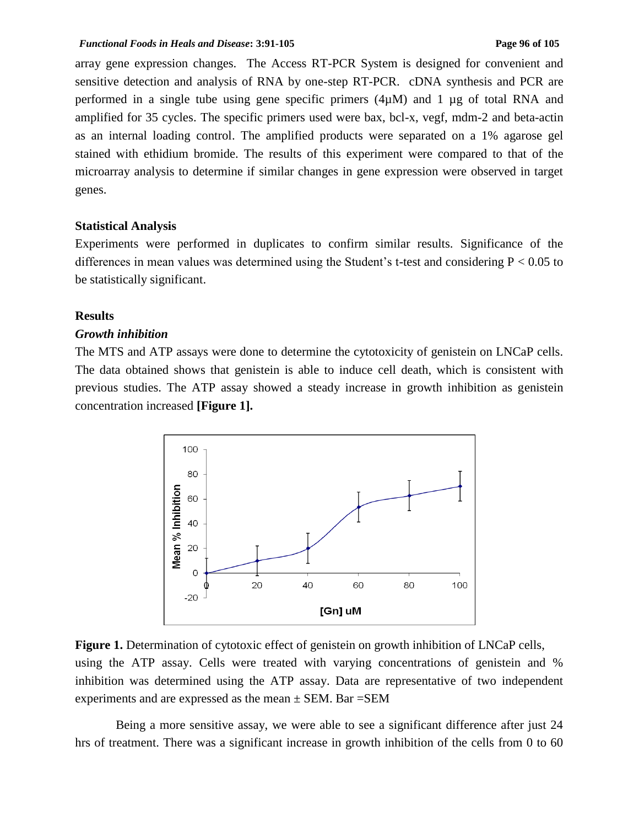array gene expression changes. The Access RT-PCR System is designed for convenient and sensitive detection and analysis of RNA by one-step RT-PCR. cDNA synthesis and PCR are performed in a single tube using gene specific primers (4µM) and 1 µg of total RNA and amplified for 35 cycles. The specific primers used were bax, bcl-x, vegf, mdm-2 and beta-actin as an internal loading control. The amplified products were separated on a 1% agarose gel stained with ethidium bromide. The results of this experiment were compared to that of the microarray analysis to determine if similar changes in gene expression were observed in target genes.

### **Statistical Analysis**

Experiments were performed in duplicates to confirm similar results. Significance of the differences in mean values was determined using the Student's t-test and considering  $P < 0.05$  to be statistically significant.

# **Results**

#### *Growth inhibition*

The MTS and ATP assays were done to determine the cytotoxicity of genistein on LNCaP cells. The data obtained shows that genistein is able to induce cell death, which is consistent with previous studies. The ATP assay showed a steady increase in growth inhibition as genistein concentration increased **[Figure 1].**



**Figure 1.** Determination of cytotoxic effect of genistein on growth inhibition of LNCaP cells, using the ATP assay. Cells were treated with varying concentrations of genistein and % inhibition was determined using the ATP assay. Data are representative of two independent experiments and are expressed as the mean  $\pm$  SEM. Bar = SEM

 Being a more sensitive assay, we were able to see a significant difference after just 24 hrs of treatment. There was a significant increase in growth inhibition of the cells from 0 to 60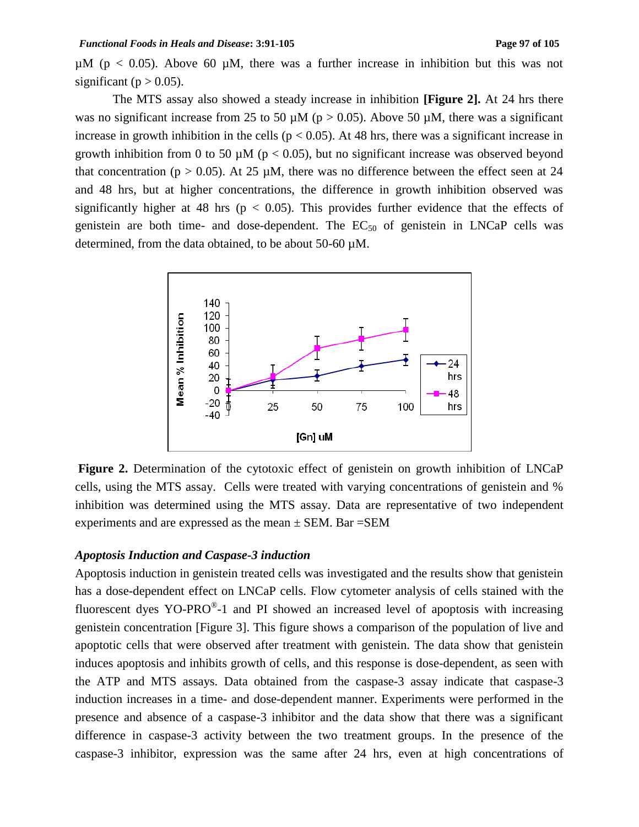$\mu$ M (p < 0.05). Above 60  $\mu$ M, there was a further increase in inhibition but this was not significant ( $p > 0.05$ ).

The MTS assay also showed a steady increase in inhibition **[Figure 2].** At 24 hrs there was no significant increase from 25 to 50  $\mu$ M (p > 0.05). Above 50  $\mu$ M, there was a significant increase in growth inhibition in the cells ( $p < 0.05$ ). At 48 hrs, there was a significant increase in growth inhibition from 0 to 50  $\mu$ M ( $p < 0.05$ ), but no significant increase was observed beyond that concentration ( $p > 0.05$ ). At 25 µM, there was no difference between the effect seen at 24 and 48 hrs, but at higher concentrations, the difference in growth inhibition observed was significantly higher at 48 hrs ( $p < 0.05$ ). This provides further evidence that the effects of genistein are both time- and dose-dependent. The  $EC_{50}$  of genistein in LNCaP cells was determined, from the data obtained, to be about 50-60 µM.



**Figure 2.** Determination of the cytotoxic effect of genistein on growth inhibition of LNCaP cells, using the MTS assay. Cells were treated with varying concentrations of genistein and % inhibition was determined using the MTS assay. Data are representative of two independent experiments and are expressed as the mean  $\pm$  SEM. Bar = SEM

## *Apoptosis Induction and Caspase-3 induction*

Apoptosis induction in genistein treated cells was investigated and the results show that genistein has a dose-dependent effect on LNCaP cells. Flow cytometer analysis of cells stained with the fluorescent dyes YO-PRO $^{\circ}$ -1 and PI showed an increased level of apoptosis with increasing genistein concentration [Figure 3]. This figure shows a comparison of the population of live and apoptotic cells that were observed after treatment with genistein. The data show that genistein induces apoptosis and inhibits growth of cells, and this response is dose-dependent, as seen with the ATP and MTS assays. Data obtained from the caspase-3 assay indicate that caspase-3 induction increases in a time- and dose-dependent manner. Experiments were performed in the presence and absence of a caspase-3 inhibitor and the data show that there was a significant difference in caspase-3 activity between the two treatment groups. In the presence of the caspase-3 inhibitor, expression was the same after 24 hrs, even at high concentrations of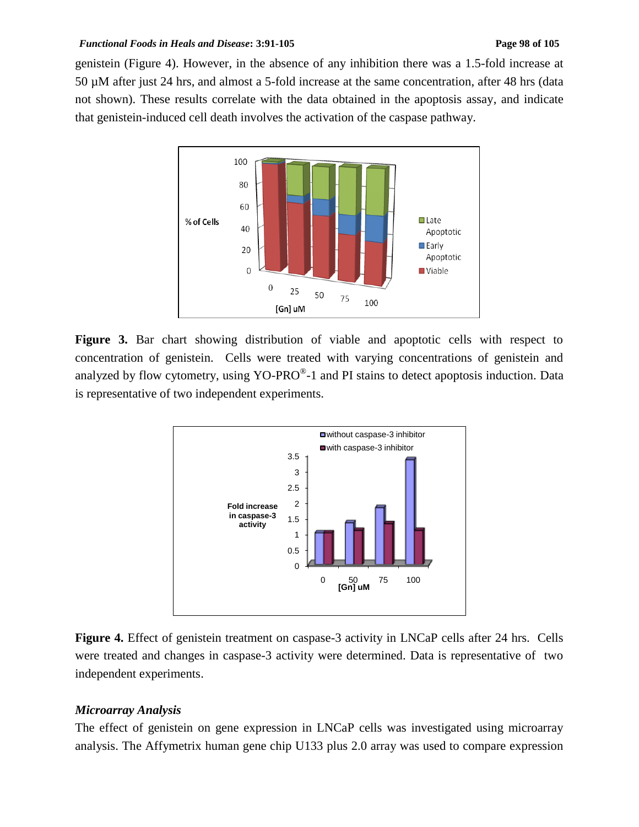#### *Functional Foods in Heals and Disease*: 3:91-105 **Page 98 Page 98** of 105

genistein (Figure 4). However, in the absence of any inhibition there was a 1.5-fold increase at 50 µM after just 24 hrs, and almost a 5-fold increase at the same concentration, after 48 hrs (data not shown). These results correlate with the data obtained in the apoptosis assay, and indicate that genistein-induced cell death involves the activation of the caspase pathway.



**Figure 3.** Bar chart showing distribution of viable and apoptotic cells with respect to concentration of genistein. Cells were treated with varying concentrations of genistein and analyzed by flow cytometry, using YO-PRO $^{\circ}$ -1 and PI stains to detect apoptosis induction. Data is representative of two independent experiments.



**Figure 4.** Effect of genistein treatment on caspase-3 activity in LNCaP cells after 24 hrs. Cells were treated and changes in caspase-3 activity were determined. Data is representative of two independent experiments.

### *Microarray Analysis*

The effect of genistein on gene expression in LNCaP cells was investigated using microarray analysis. The Affymetrix human gene chip U133 plus 2.0 array was used to compare expression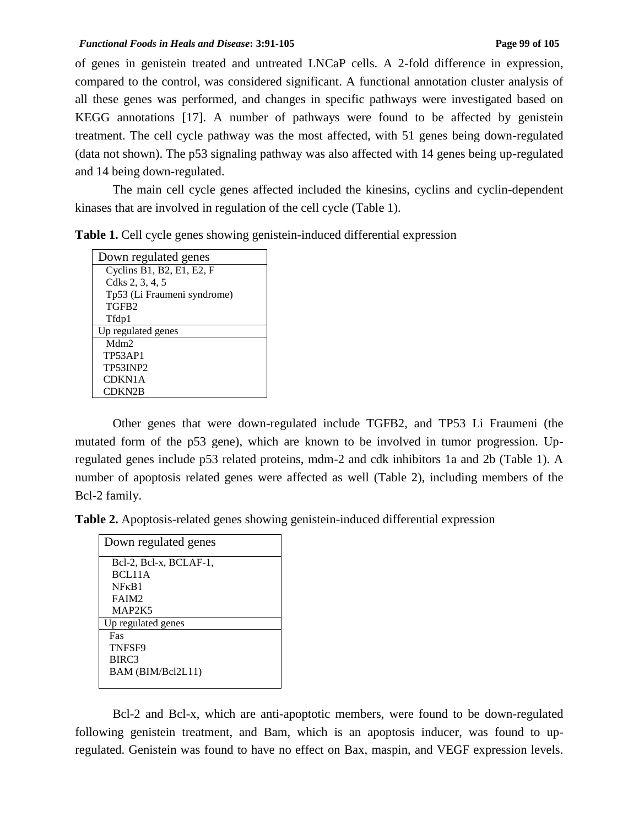of genes in genistein treated and untreated LNCaP cells. A 2-fold difference in expression, compared to the control, was considered significant. A functional annotation cluster analysis of all these genes was performed, and changes in specific pathways were investigated based on KEGG annotations [17]. A number of pathways were found to be affected by genistein treatment. The cell cycle pathway was the most affected, with 51 genes being down-regulated (data not shown). The p53 signaling pathway was also affected with 14 genes being up-regulated and 14 being down-regulated.

The main cell cycle genes affected included the kinesins, cyclins and cyclin-dependent kinases that are involved in regulation of the cell cycle (Table 1).

|  |  |  | Table 1. Cell cycle genes showing genistein-induced differential expression |
|--|--|--|-----------------------------------------------------------------------------|
|--|--|--|-----------------------------------------------------------------------------|

Other genes that were down-regulated include TGFB2, and TP53 Li Fraumeni (the mutated form of the p53 gene), which are known to be involved in tumor progression. Upregulated genes include p53 related proteins, mdm-2 and cdk inhibitors 1a and 2b (Table 1). A number of apoptosis related genes were affected as well (Table 2), including members of the Bcl-2 family.

**Table 2.** Apoptosis-related genes showing genistein-induced differential expression

| Down regulated genes   |
|------------------------|
| Bel-2, Bel-x, BCLAF-1, |
| BCL11A                 |
| $N F \kappa R1$        |
| FAIM <sub>2</sub>      |
| MAP2K5                 |
| Up regulated genes     |
| Fas                    |
| TNFSF9                 |
| BIRC3                  |
| BAM (BIM/Bcl2L11)      |
|                        |

Bcl-2 and Bcl-x, which are anti-apoptotic members, were found to be down-regulated following genistein treatment, and Bam, which is an apoptosis inducer, was found to upregulated. Genistein was found to have no effect on Bax, maspin, and VEGF expression levels.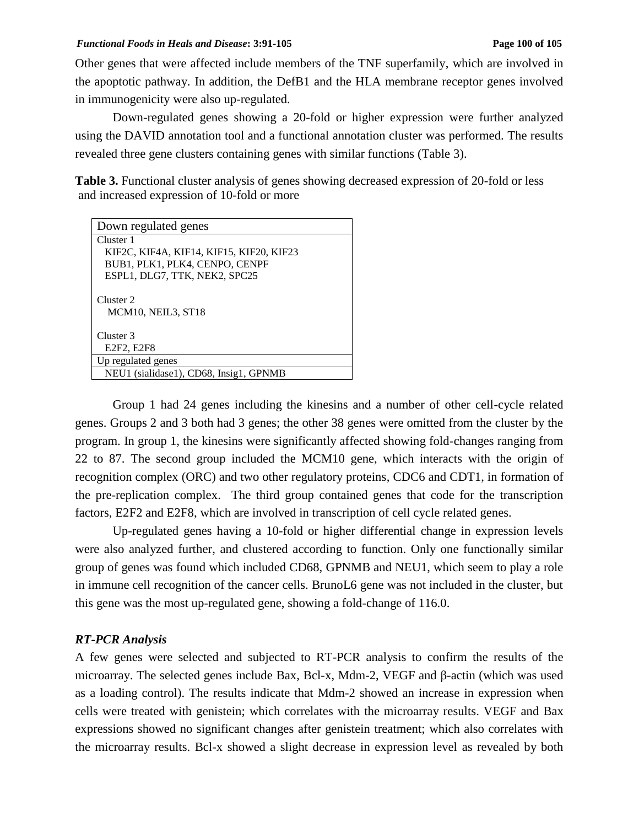Other genes that were affected include members of the TNF superfamily, which are involved in the apoptotic pathway. In addition, the DefB1 and the HLA membrane receptor genes involved in immunogenicity were also up-regulated.

Down-regulated genes showing a 20-fold or higher expression were further analyzed using the DAVID annotation tool and a functional annotation cluster was performed. The results revealed three gene clusters containing genes with similar functions (Table 3).

Table 3. Functional cluster analysis of genes showing decreased expression of 20-fold or less and increased expression of 10-fold or more

| Down regulated genes                       |  |  |
|--------------------------------------------|--|--|
| Cluster 1                                  |  |  |
| KIF2C, KIF4A, KIF14, KIF15, KIF20, KIF23   |  |  |
| BUB1, PLK1, PLK4, CENPO, CENPF             |  |  |
| ESPL1, DLG7, TTK, NEK2, SPC25              |  |  |
| Cluster <sub>2</sub><br>MCM10, NEIL3, ST18 |  |  |
| Cluster <sub>3</sub>                       |  |  |
| E <sub>2F2</sub> , E <sub>2F8</sub>        |  |  |
| Up regulated genes                         |  |  |
| NEU1 (sialidase1), CD68, Insig1, GPNMB     |  |  |

Group 1 had 24 genes including the kinesins and a number of other cell-cycle related genes. Groups 2 and 3 both had 3 genes; the other 38 genes were omitted from the cluster by the program. In group 1, the kinesins were significantly affected showing fold-changes ranging from 22 to 87. The second group included the MCM10 gene, which interacts with the origin of recognition complex (ORC) and two other regulatory proteins, CDC6 and CDT1, in formation of the pre-replication complex. The third group contained genes that code for the transcription factors, E2F2 and E2F8, which are involved in transcription of cell cycle related genes.

Up-regulated genes having a 10-fold or higher differential change in expression levels were also analyzed further, and clustered according to function. Only one functionally similar group of genes was found which included CD68, GPNMB and NEU1, which seem to play a role in immune cell recognition of the cancer cells. BrunoL6 gene was not included in the cluster, but this gene was the most up-regulated gene, showing a fold-change of 116.0.

# *RT-PCR Analysis*

A few genes were selected and subjected to RT-PCR analysis to confirm the results of the microarray. The selected genes include Bax, Bcl-x, Mdm-2, VEGF and β-actin (which was used as a loading control). The results indicate that Mdm-2 showed an increase in expression when cells were treated with genistein; which correlates with the microarray results. VEGF and Bax expressions showed no significant changes after genistein treatment; which also correlates with the microarray results. Bcl-x showed a slight decrease in expression level as revealed by both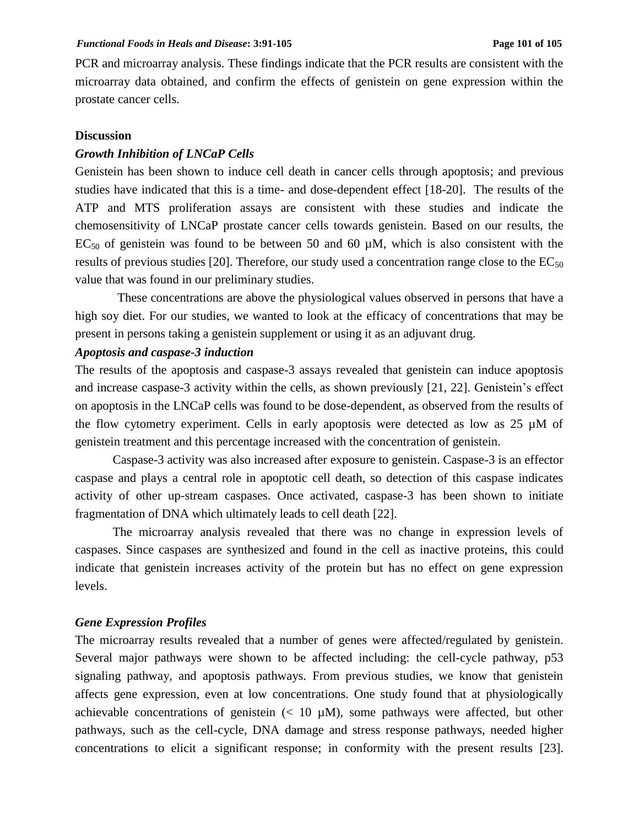PCR and microarray analysis. These findings indicate that the PCR results are consistent with the microarray data obtained, and confirm the effects of genistein on gene expression within the prostate cancer cells.

### **Discussion**

## *Growth Inhibition of LNCaP Cells*

Genistein has been shown to induce cell death in cancer cells through apoptosis; and previous studies have indicated that this is a time- and dose-dependent effect [18-20]. The results of the ATP and MTS proliferation assays are consistent with these studies and indicate the chemosensitivity of LNCaP prostate cancer cells towards genistein. Based on our results, the  $EC_{50}$  of genistein was found to be between 50 and 60  $\mu$ M, which is also consistent with the results of previous studies [20]. Therefore, our study used a concentration range close to the  $EC_{50}$ value that was found in our preliminary studies.

These concentrations are above the physiological values observed in persons that have a high soy diet. For our studies, we wanted to look at the efficacy of concentrations that may be present in persons taking a genistein supplement or using it as an adjuvant drug.

# *Apoptosis and caspase-3 induction*

The results of the apoptosis and caspase-3 assays revealed that genistein can induce apoptosis and increase caspase-3 activity within the cells, as shown previously [21, 22]. Genistein's effect on apoptosis in the LNCaP cells was found to be dose-dependent, as observed from the results of the flow cytometry experiment. Cells in early apoptosis were detected as low as 25 µM of genistein treatment and this percentage increased with the concentration of genistein.

Caspase-3 activity was also increased after exposure to genistein. Caspase-3 is an effector caspase and plays a central role in apoptotic cell death, so detection of this caspase indicates activity of other up-stream caspases. Once activated, caspase-3 has been shown to initiate fragmentation of DNA which ultimately leads to cell death [22].

The microarray analysis revealed that there was no change in expression levels of caspases. Since caspases are synthesized and found in the cell as inactive proteins, this could indicate that genistein increases activity of the protein but has no effect on gene expression levels.

### *Gene Expression Profiles*

The microarray results revealed that a number of genes were affected/regulated by genistein. Several major pathways were shown to be affected including: the cell-cycle pathway, p53 signaling pathway, and apoptosis pathways. From previous studies, we know that genistein affects gene expression, even at low concentrations. One study found that at physiologically achievable concentrations of genistein  $(< 10 \mu M)$ , some pathways were affected, but other pathways, such as the cell-cycle, DNA damage and stress response pathways, needed higher concentrations to elicit a significant response; in conformity with the present results [23].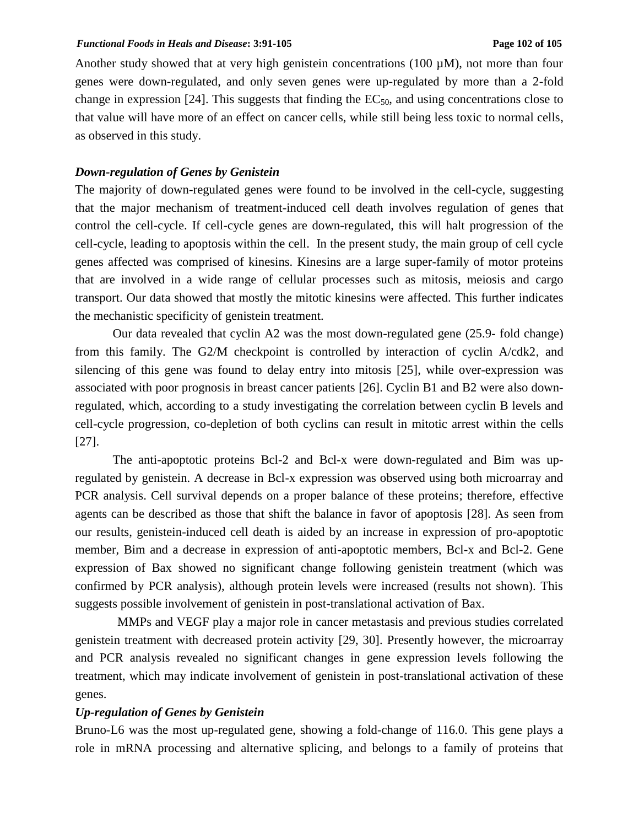Another study showed that at very high genistein concentrations (100  $\mu$ M), not more than four genes were down-regulated, and only seven genes were up-regulated by more than a 2-fold change in expression [24]. This suggests that finding the  $EC_{50}$ , and using concentrations close to that value will have more of an effect on cancer cells, while still being less toxic to normal cells, as observed in this study.

# *Down-regulation of Genes by Genistein*

The majority of down-regulated genes were found to be involved in the cell-cycle, suggesting that the major mechanism of treatment-induced cell death involves regulation of genes that control the cell-cycle. If cell-cycle genes are down-regulated, this will halt progression of the cell-cycle, leading to apoptosis within the cell. In the present study, the main group of cell cycle genes affected was comprised of kinesins. Kinesins are a large super-family of motor proteins that are involved in a wide range of cellular processes such as mitosis, meiosis and cargo transport. Our data showed that mostly the mitotic kinesins were affected. This further indicates the mechanistic specificity of genistein treatment.

Our data revealed that cyclin A2 was the most down-regulated gene (25.9- fold change) from this family. The G2/M checkpoint is controlled by interaction of cyclin A/cdk2, and silencing of this gene was found to delay entry into mitosis [25], while over-expression was associated with poor prognosis in breast cancer patients [26]. Cyclin B1 and B2 were also downregulated, which, according to a study investigating the correlation between cyclin B levels and cell-cycle progression, co-depletion of both cyclins can result in mitotic arrest within the cells [27].

The anti-apoptotic proteins Bcl-2 and Bcl-x were down-regulated and Bim was upregulated by genistein. A decrease in Bcl-x expression was observed using both microarray and PCR analysis. Cell survival depends on a proper balance of these proteins; therefore, effective agents can be described as those that shift the balance in favor of apoptosis [28]. As seen from our results, genistein-induced cell death is aided by an increase in expression of pro-apoptotic member, Bim and a decrease in expression of anti-apoptotic members, Bcl-x and Bcl-2. Gene expression of Bax showed no significant change following genistein treatment (which was confirmed by PCR analysis), although protein levels were increased (results not shown). This suggests possible involvement of genistein in post-translational activation of Bax.

MMPs and VEGF play a major role in cancer metastasis and previous studies correlated genistein treatment with decreased protein activity [29, 30]. Presently however, the microarray and PCR analysis revealed no significant changes in gene expression levels following the treatment, which may indicate involvement of genistein in post-translational activation of these genes.

# *Up-regulation of Genes by Genistein*

Bruno-L6 was the most up-regulated gene, showing a fold-change of 116.0. This gene plays a role in mRNA processing and alternative splicing, and belongs to a family of proteins that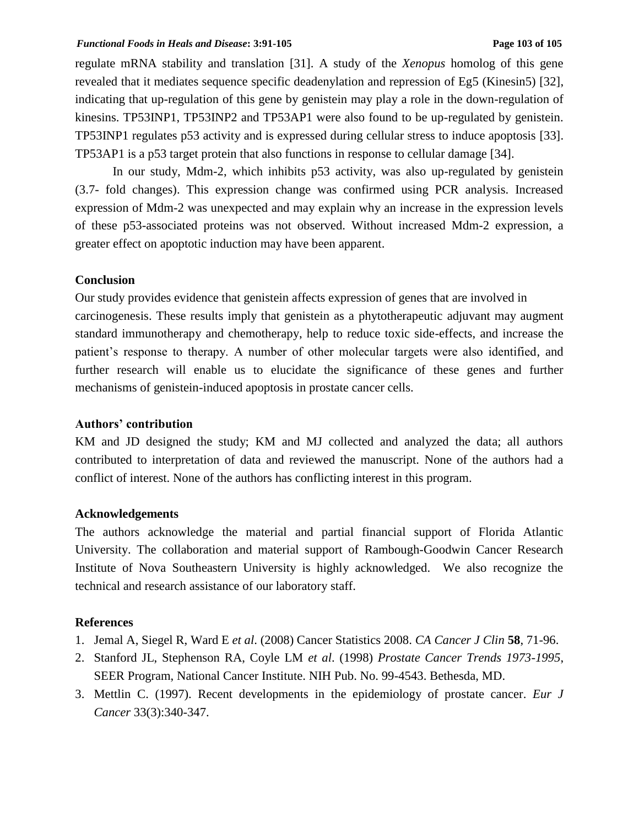#### *Functional Foods in Heals and Disease***: 3:91-105 Page 103 of 105**

regulate mRNA stability and translation [31]. A study of the *Xenopus* homolog of this gene revealed that it mediates sequence specific deadenylation and repression of Eg5 (Kinesin5) [32], indicating that up-regulation of this gene by genistein may play a role in the down-regulation of kinesins. TP53INP1, TP53INP2 and TP53AP1 were also found to be up-regulated by genistein. TP53INP1 regulates p53 activity and is expressed during cellular stress to induce apoptosis [33]. TP53AP1 is a p53 target protein that also functions in response to cellular damage [34].

In our study, Mdm-2, which inhibits p53 activity, was also up-regulated by genistein (3.7- fold changes). This expression change was confirmed using PCR analysis. Increased expression of Mdm-2 was unexpected and may explain why an increase in the expression levels of these p53-associated proteins was not observed. Without increased Mdm-2 expression, a greater effect on apoptotic induction may have been apparent.

## **Conclusion**

Our study provides evidence that genistein affects expression of genes that are involved in carcinogenesis. These results imply that genistein as a phytotherapeutic adjuvant may augment standard immunotherapy and chemotherapy, help to reduce toxic side-effects, and increase the patient's response to therapy. A number of other molecular targets were also identified, and further research will enable us to elucidate the significance of these genes and further mechanisms of genistein-induced apoptosis in prostate cancer cells.

# **Authors' contribution**

KM and JD designed the study; KM and MJ collected and analyzed the data; all authors contributed to interpretation of data and reviewed the manuscript. None of the authors had a conflict of interest. None of the authors has conflicting interest in this program.

## **Acknowledgements**

The authors acknowledge the material and partial financial support of Florida Atlantic University. The collaboration and material support of Rambough-Goodwin Cancer Research Institute of Nova Southeastern University is highly acknowledged. We also recognize the technical and research assistance of our laboratory staff.

# **References**

- 1. Jemal A, Siegel R, Ward E *et al*. (2008) Cancer Statistics 2008. *CA Cancer J Clin* **58**, 71-96.
- 2. Stanford JL, Stephenson RA, Coyle LM *et al*. (1998) *Prostate Cancer Trends 1973-1995*, SEER Program, National Cancer Institute. NIH Pub. No. 99-4543. Bethesda, MD.
- 3. Mettlin C. (1997). Recent developments in the epidemiology of prostate cancer. *Eur J Cancer* 33(3):340-347.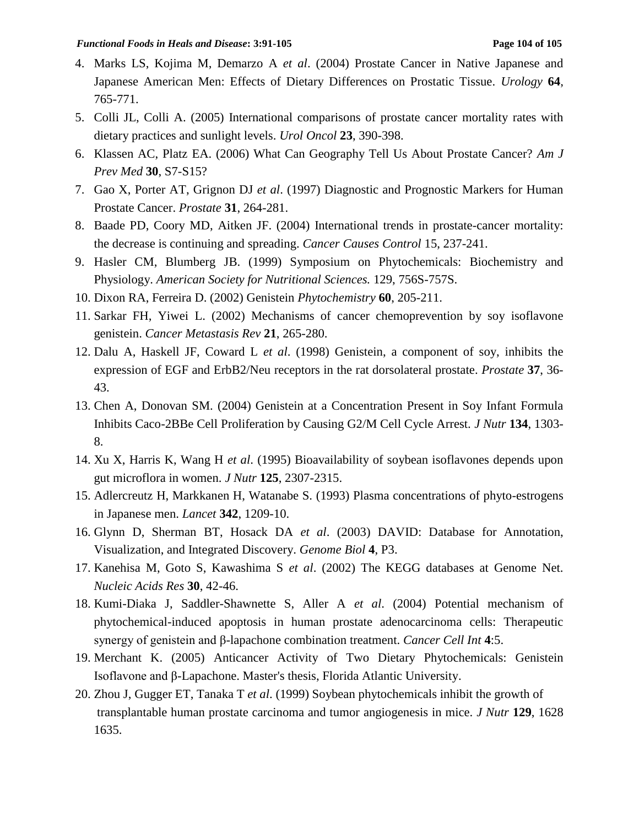- 4. Marks LS, Kojima M, Demarzo A *et al*. (2004) Prostate Cancer in Native Japanese and Japanese American Men: Effects of Dietary Differences on Prostatic Tissue. *Urology* **64**, 765-771.
- 5. Colli JL, Colli A. (2005) International comparisons of prostate cancer mortality rates with dietary practices and sunlight levels. *Urol Oncol* **23**, 390-398.
- 6. Klassen AC, Platz EA. (2006) What Can Geography Tell Us About Prostate Cancer? *Am J Prev Med* **30**, S7-S15?
- 7. Gao X, Porter AT, Grignon DJ *et al*. (1997) Diagnostic and Prognostic Markers for Human Prostate Cancer. *Prostate* **31**, 264-281.
- 8. Baade PD, Coory MD, Aitken JF. (2004) International trends in prostate-cancer mortality: the decrease is continuing and spreading. *Cancer Causes Control* 15, 237-241.
- 9. Hasler CM, Blumberg JB. (1999) Symposium on Phytochemicals: Biochemistry and Physiology. *American Society for Nutritional Sciences.* 129, 756S-757S.
- 10. Dixon RA, Ferreira D. (2002) Genistein *Phytochemistry* **60**, 205-211.
- 11. Sarkar FH, Yiwei L. (2002) Mechanisms of cancer chemoprevention by soy isoflavone genistein. *Cancer Metastasis Rev* **21**, 265-280.
- 12. Dalu A, Haskell JF, Coward L *et al*. (1998) Genistein, a component of soy, inhibits the expression of EGF and ErbB2/Neu receptors in the rat dorsolateral prostate. *Prostate* **37**, 36- 43.
- 13. Chen A, Donovan SM. (2004) Genistein at a Concentration Present in Soy Infant Formula Inhibits Caco-2BBe Cell Proliferation by Causing G2/M Cell Cycle Arrest. *J Nutr* **134**, 1303- 8.
- 14. Xu X, Harris K, Wang H *et al*. (1995) Bioavailability of soybean isoflavones depends upon gut microflora in women. *J Nutr* **125**, 2307-2315.
- 15. Adlercreutz H, Markkanen H, Watanabe S. (1993) Plasma concentrations of phyto-estrogens in Japanese men. *Lancet* **342**, 1209-10.
- 16. Glynn D, Sherman BT, Hosack DA *et al*. (2003) DAVID: Database for Annotation, Visualization, and Integrated Discovery. *Genome Biol* **4**, P3.
- 17. Kanehisa M, Goto S, Kawashima S *et al*. (2002) The KEGG databases at Genome Net. *Nucleic Acids Res* **30**, 42-46.
- 18. Kumi-Diaka J, Saddler-Shawnette S, Aller A *et al*. (2004) Potential mechanism of phytochemical-induced apoptosis in human prostate adenocarcinoma cells: Therapeutic synergy of genistein and β-lapachone combination treatment. *Cancer Cell Int* **4**:5.
- 19. Merchant K. (2005) Anticancer Activity of Two Dietary Phytochemicals: Genistein Isoflavone and β-Lapachone. Master's thesis, Florida Atlantic University.
- 20. Zhou J, Gugger ET, Tanaka T *et al*. (1999) Soybean phytochemicals inhibit the growth of transplantable human prostate carcinoma and tumor angiogenesis in mice. *J Nutr* **129**, 1628 1635.